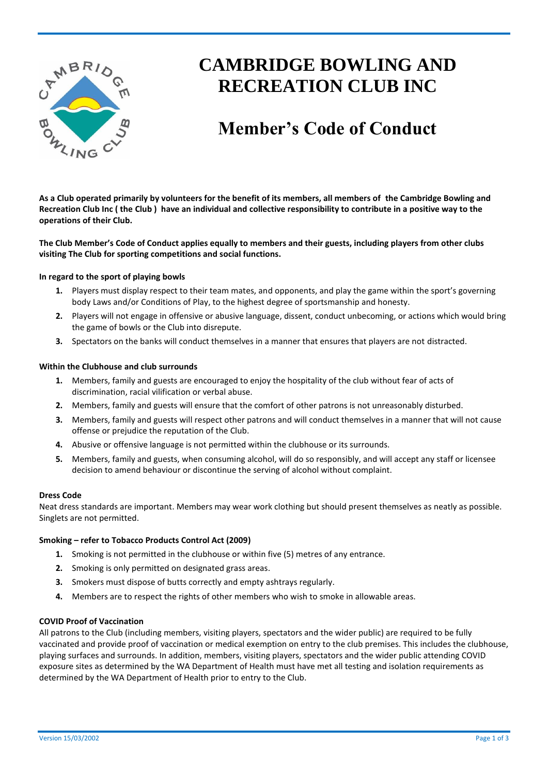

# **CAMBRIDGE BOWLING AND RECREATION CLUB INC**

# **Member's Code of Conduct**

**As a Club operated primarily by volunteers for the benefit of its members, all members of the Cambridge Bowling and Recreation Club Inc ( the Club ) have an individual and collective responsibility to contribute in a positive way to the operations of their Club.**

**The Club Member's Code of Conduct applies equally to members and their guests, including players from other clubs visiting The Club for sporting competitions and social functions.** 

### **In regard to the sport of playing bowls**

- **1.** Players must display respect to their team mates, and opponents, and play the game within the sport's governing body Laws and/or Conditions of Play, to the highest degree of sportsmanship and honesty.
- **2.** Players will not engage in offensive or abusive language, dissent, conduct unbecoming, or actions which would bring the game of bowls or the Club into disrepute.
- **3.** Spectators on the banks will conduct themselves in a manner that ensures that players are not distracted.

### **Within the Clubhouse and club surrounds**

- **1.** Members, family and guests are encouraged to enjoy the hospitality of the club without fear of acts of discrimination, racial vilification or verbal abuse.
- **2.** Members, family and guests will ensure that the comfort of other patrons is not unreasonably disturbed.
- **3.** Members, family and guests will respect other patrons and will conduct themselves in a manner that will not cause offense or prejudice the reputation of the Club.
- **4.** Abusive or offensive language is not permitted within the clubhouse or its surrounds.
- **5.** Members, family and guests, when consuming alcohol, will do so responsibly, and will accept any staff or licensee decision to amend behaviour or discontinue the serving of alcohol without complaint.

#### **Dress Code**

Neat dress standards are important. Members may wear work clothing but should present themselves as neatly as possible. Singlets are not permitted.

#### **Smoking – refer to Tobacco Products Control Act (2009)**

- **1.** Smoking is not permitted in the clubhouse or within five (5) metres of any entrance.
- **2.** Smoking is only permitted on designated grass areas.
- **3.** Smokers must dispose of butts correctly and empty ashtrays regularly.
- **4.** Members are to respect the rights of other members who wish to smoke in allowable areas.

#### **COVID Proof of Vaccination**

All patrons to the Club (including members, visiting players, spectators and the wider public) are required to be fully vaccinated and provide proof of vaccination or medical exemption on entry to the club premises. This includes the clubhouse, playing surfaces and surrounds. In addition, members, visiting players, spectators and the wider public attending COVID exposure sites as determined by the WA Department of Health must have met all testing and isolation requirements as determined by the WA Department of Health prior to entry to the Club.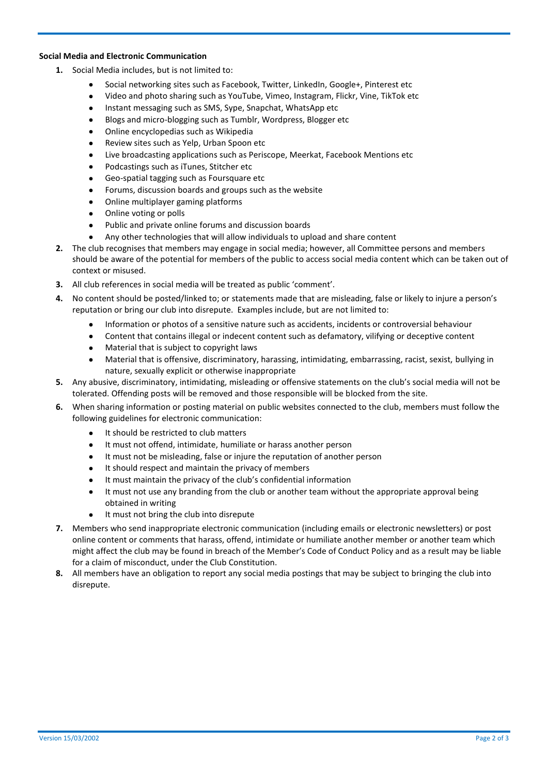# **Social Media and Electronic Communication**

- **1.** Social Media includes, but is not limited to:
	- Social networking sites such as Facebook, Twitter, LinkedIn, Google+, Pinterest etc
	- Video and photo sharing such as YouTube, Vimeo, Instagram, Flickr, Vine, TikTok etc
	- Instant messaging such as SMS, Sype, Snapchat, WhatsApp etc
	- Blogs and micro-blogging such as Tumblr, Wordpress, Blogger etc
	- Online encyclopedias such as Wikipedia
	- Review sites such as Yelp, Urban Spoon etc
	- Live broadcasting applications such as Periscope, Meerkat, Facebook Mentions etc
	- Podcastings such as iTunes, Stitcher etc
	- Geo-spatial tagging such as Foursquare etc
	- Forums, discussion boards and groups such as the website
	- Online multiplayer gaming platforms
	- Online voting or polls
	- Public and private online forums and discussion boards
	- Any other technologies that will allow individuals to upload and share content
- **2.** The club recognises that members may engage in social media; however, all Committee persons and members should be aware of the potential for members of the public to access social media content which can be taken out of context or misused.
- **3.** All club references in social media will be treated as public 'comment'.
- **4.** No content should be posted/linked to; or statements made that are misleading, false or likely to injure a person's reputation or bring our club into disrepute. Examples include, but are not limited to:
	- Information or photos of a sensitive nature such as accidents, incidents or controversial behaviour
	- Content that contains illegal or indecent content such as defamatory, vilifying or deceptive content
	- Material that is subject to copyright laws
	- Material that is offensive, discriminatory, harassing, intimidating, embarrassing, racist, sexist, bullying in nature, sexually explicit or otherwise inappropriate
- **5.** Any abusive, discriminatory, intimidating, misleading or offensive statements on the club's social media will not be tolerated. Offending posts will be removed and those responsible will be blocked from the site.
- **6.** When sharing information or posting material on public websites connected to the club, members must follow the following guidelines for electronic communication:
	- It should be restricted to club matters
	- It must not offend, intimidate, humiliate or harass another person
	- It must not be misleading, false or injure the reputation of another person
	- It should respect and maintain the privacy of members
	- It must maintain the privacy of the club's confidential information
	- It must not use any branding from the club or another team without the appropriate approval being obtained in writing
	- It must not bring the club into disrepute
- **7.** Members who send inappropriate electronic communication (including emails or electronic newsletters) or post online content or comments that harass, offend, intimidate or humiliate another member or another team which might affect the club may be found in breach of the Member's Code of Conduct Policy and as a result may be liable for a claim of misconduct, under the Club Constitution.
- **8.** All members have an obligation to report any social media postings that may be subject to bringing the club into disrepute.